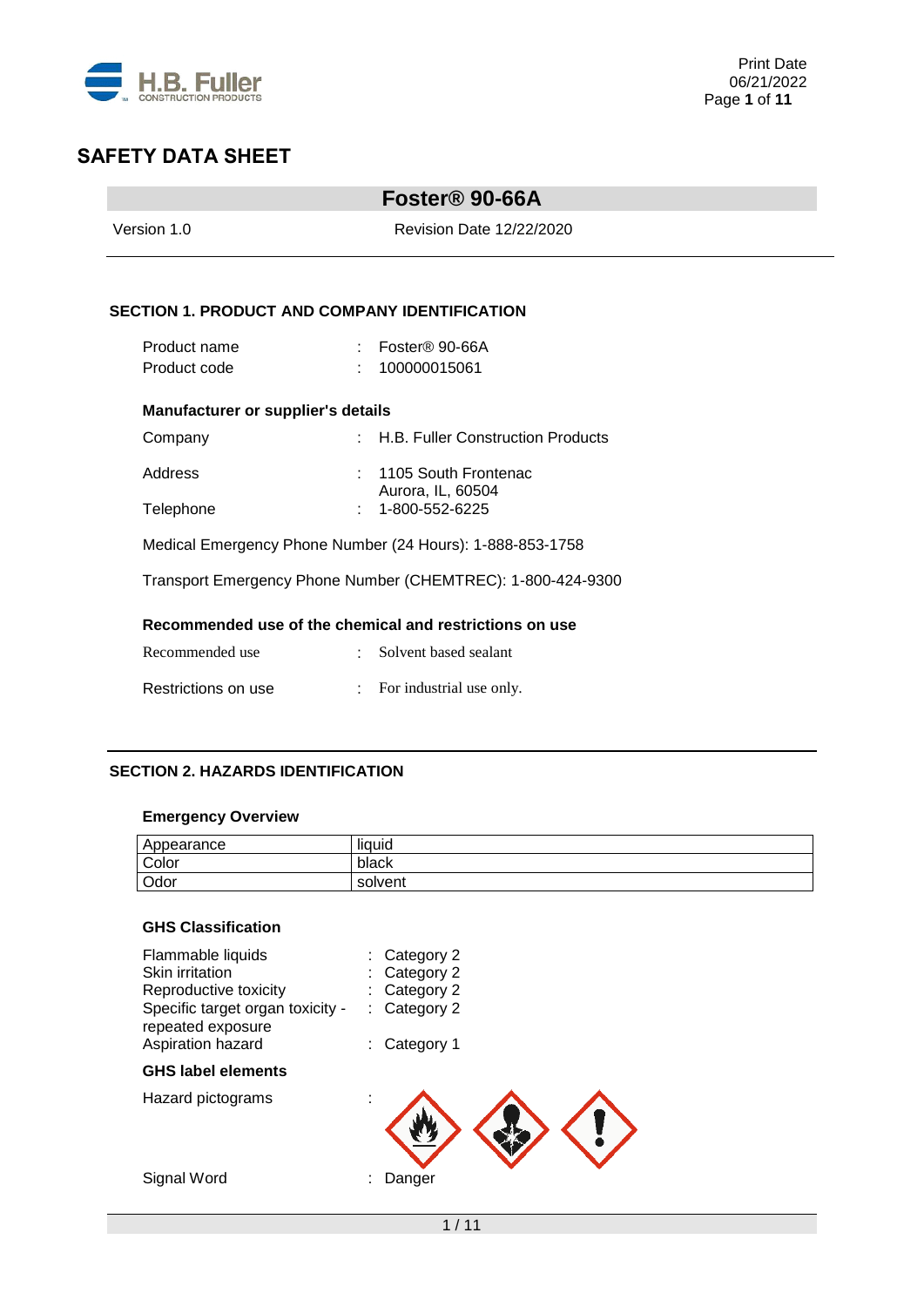

|                                                             |                                 | Foster <sup>®</sup> 90-66A                |  |  |  |  |
|-------------------------------------------------------------|---------------------------------|-------------------------------------------|--|--|--|--|
| Version 1.0                                                 | <b>Revision Date 12/22/2020</b> |                                           |  |  |  |  |
|                                                             |                                 |                                           |  |  |  |  |
| <b>SECTION 1. PRODUCT AND COMPANY IDENTIFICATION</b>        |                                 |                                           |  |  |  |  |
| Product name                                                |                                 | : Foster® 90-66A                          |  |  |  |  |
| Product code                                                |                                 | 100000015061                              |  |  |  |  |
| Manufacturer or supplier's details                          |                                 |                                           |  |  |  |  |
| Company                                                     |                                 | : H.B. Fuller Construction Products       |  |  |  |  |
| Address                                                     | $\epsilon$                      | 1105 South Frontenac<br>Aurora, IL, 60504 |  |  |  |  |
| Telephone                                                   |                                 | 1-800-552-6225                            |  |  |  |  |
| Medical Emergency Phone Number (24 Hours): 1-888-853-1758   |                                 |                                           |  |  |  |  |
| Transport Emergency Phone Number (CHEMTREC): 1-800-424-9300 |                                 |                                           |  |  |  |  |
| Recommended use of the chemical and restrictions on use     |                                 |                                           |  |  |  |  |
| Recommended use                                             |                                 | Solvent based sealant                     |  |  |  |  |
| Restrictions on use                                         |                                 | For industrial use only.                  |  |  |  |  |

## **SECTION 2. HAZARDS IDENTIFICATION**

## **Emergency Overview**

| Appearance | <br>liquid |
|------------|------------|
| Color      | black      |
| Odor       | solvent    |

# **GHS Classification**

| Flammable liquids<br><b>Skin irritation</b>           | Category 2<br>Category 2 |
|-------------------------------------------------------|--------------------------|
| Reproductive toxicity                                 | Category 2               |
| Specific target organ toxicity -<br>repeated exposure | Category 2               |
| Aspiration hazard                                     | Category 1               |
| <b>GHS label elements</b>                             |                          |
| Hazard pictograms                                     |                          |
|                                                       |                          |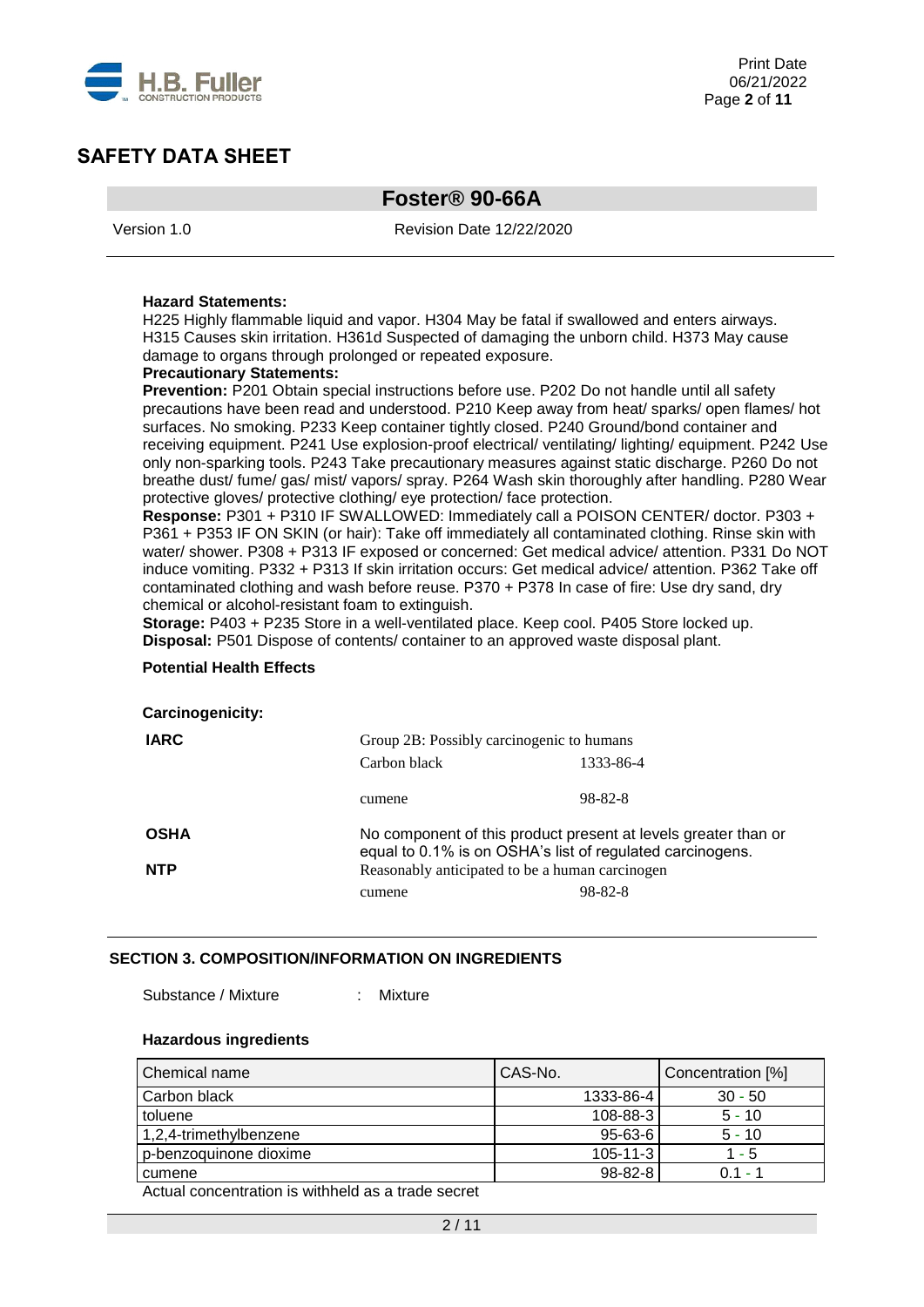

# **Foster® 90-66A**

Version 1.0 Revision Date 12/22/2020

#### **Hazard Statements:**

H225 Highly flammable liquid and vapor. H304 May be fatal if swallowed and enters airways. H315 Causes skin irritation. H361d Suspected of damaging the unborn child. H373 May cause damage to organs through prolonged or repeated exposure.

#### **Precautionary Statements:**

Prevention: P201 Obtain special instructions before use. P202 Do not handle until all safety precautions have been read and understood. P210 Keep away from heat/ sparks/ open flames/ hot surfaces. No smoking. P233 Keep container tightly closed. P240 Ground/bond container and receiving equipment. P241 Use explosion-proof electrical/ ventilating/ lighting/ equipment. P242 Use only non-sparking tools. P243 Take precautionary measures against static discharge. P260 Do not breathe dust/ fume/ gas/ mist/ vapors/ spray. P264 Wash skin thoroughly after handling. P280 Wear protective gloves/ protective clothing/ eye protection/ face protection.

**Response:** P301 + P310 IF SWALLOWED: Immediately call a POISON CENTER/ doctor. P303 + P361 + P353 IF ON SKIN (or hair): Take off immediately all contaminated clothing. Rinse skin with water/ shower. P308 + P313 IF exposed or concerned: Get medical advice/ attention. P331 Do NOT induce vomiting. P332 + P313 If skin irritation occurs: Get medical advice/ attention. P362 Take off contaminated clothing and wash before reuse. P370 + P378 In case of fire: Use dry sand, dry chemical or alcohol-resistant foam to extinguish.

**Storage:** P403 + P235 Store in a well-ventilated place. Keep cool. P405 Store locked up. **Disposal:** P501 Dispose of contents/ container to an approved waste disposal plant.

#### **Potential Health Effects**

#### **Carcinogenicity:**

| <b>IARC</b> | Group 2B: Possibly carcinogenic to humans                                                                                   |           |  |  |  |
|-------------|-----------------------------------------------------------------------------------------------------------------------------|-----------|--|--|--|
|             | Carbon black                                                                                                                | 1333-86-4 |  |  |  |
|             | cumene                                                                                                                      | 98-82-8   |  |  |  |
| <b>OSHA</b> | No component of this product present at levels greater than or<br>equal to 0.1% is on OSHA's list of regulated carcinogens. |           |  |  |  |
| <b>NTP</b>  | Reasonably anticipated to be a human carcinogen                                                                             |           |  |  |  |
|             | cumene                                                                                                                      | 98-82-8   |  |  |  |

#### **SECTION 3. COMPOSITION/INFORMATION ON INGREDIENTS**

Substance / Mixture : Mixture

#### **Hazardous ingredients**

| Chemical name                                                                    | CAS-No.        | Concentration [%] |
|----------------------------------------------------------------------------------|----------------|-------------------|
| Carbon black                                                                     | 1333-86-4      | $30 - 50$         |
| toluene                                                                          | 108-88-3       | $5 - 10$          |
| 1,2,4-trimethylbenzene                                                           | $95 - 63 - 6$  | $5 - 10$          |
| p-benzoquinone dioxime                                                           | $105 - 11 - 3$ | 1 - 5             |
| cumene                                                                           | $98 - 82 - 8$  | $0.1 -$           |
| A set of the second control to the stability of the set of the second control of |                |                   |

Actual concentration is withheld as a trade secret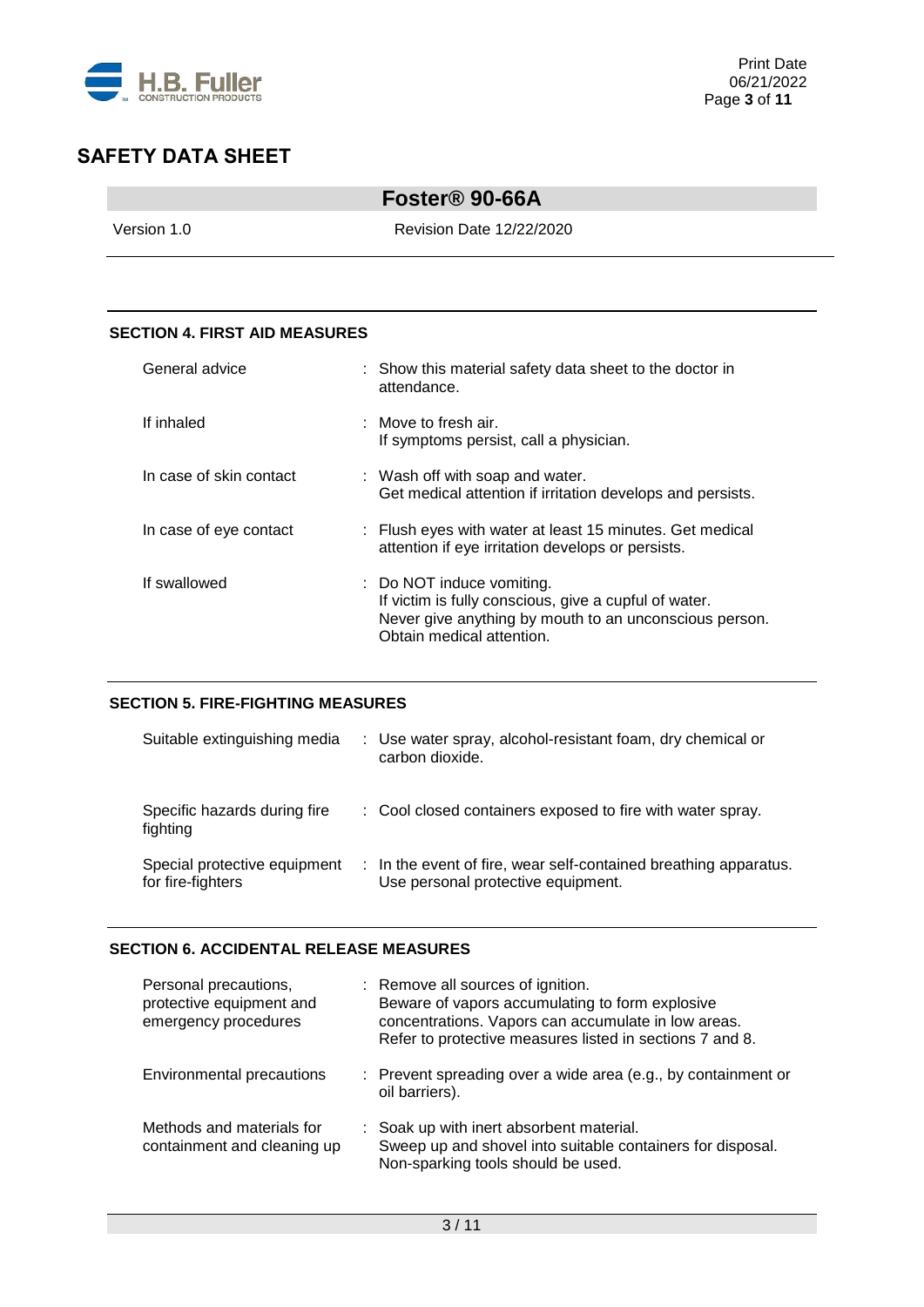

| Foster <sup>®</sup> 90-66A      |  |
|---------------------------------|--|
| <b>Revision Date 12/22/2020</b> |  |
|                                 |  |

### **SECTION 4. FIRST AID MEASURES**

| General advice          | : Show this material safety data sheet to the doctor in<br>attendance.                                                                                                    |
|-------------------------|---------------------------------------------------------------------------------------------------------------------------------------------------------------------------|
| If inhaled              | $\pm$ Move to fresh air.<br>If symptoms persist, call a physician.                                                                                                        |
| In case of skin contact | : Wash off with soap and water.<br>Get medical attention if irritation develops and persists.                                                                             |
| In case of eye contact  | : Flush eyes with water at least 15 minutes. Get medical<br>attention if eye irritation develops or persists.                                                             |
| If swallowed            | : Do NOT induce vomiting.<br>If victim is fully conscious, give a cupful of water.<br>Never give anything by mouth to an unconscious person.<br>Obtain medical attention. |

### **SECTION 5. FIRE-FIGHTING MEASURES**

| Suitable extinguishing media                      | : Use water spray, alcohol-resistant foam, dry chemical or<br>carbon dioxide.                          |
|---------------------------------------------------|--------------------------------------------------------------------------------------------------------|
| Specific hazards during fire<br>fighting          | : Cool closed containers exposed to fire with water spray.                                             |
| Special protective equipment<br>for fire-fighters | : In the event of fire, wear self-contained breathing apparatus.<br>Use personal protective equipment. |

### **SECTION 6. ACCIDENTAL RELEASE MEASURES**

| Personal precautions,<br>protective equipment and<br>emergency procedures | : Remove all sources of ignition.<br>Beware of vapors accumulating to form explosive<br>concentrations. Vapors can accumulate in low areas.<br>Refer to protective measures listed in sections 7 and 8. |
|---------------------------------------------------------------------------|---------------------------------------------------------------------------------------------------------------------------------------------------------------------------------------------------------|
| Environmental precautions                                                 | : Prevent spreading over a wide area (e.g., by containment or<br>oil barriers).                                                                                                                         |
| Methods and materials for<br>containment and cleaning up                  | : Soak up with inert absorbent material.<br>Sweep up and shovel into suitable containers for disposal.<br>Non-sparking tools should be used.                                                            |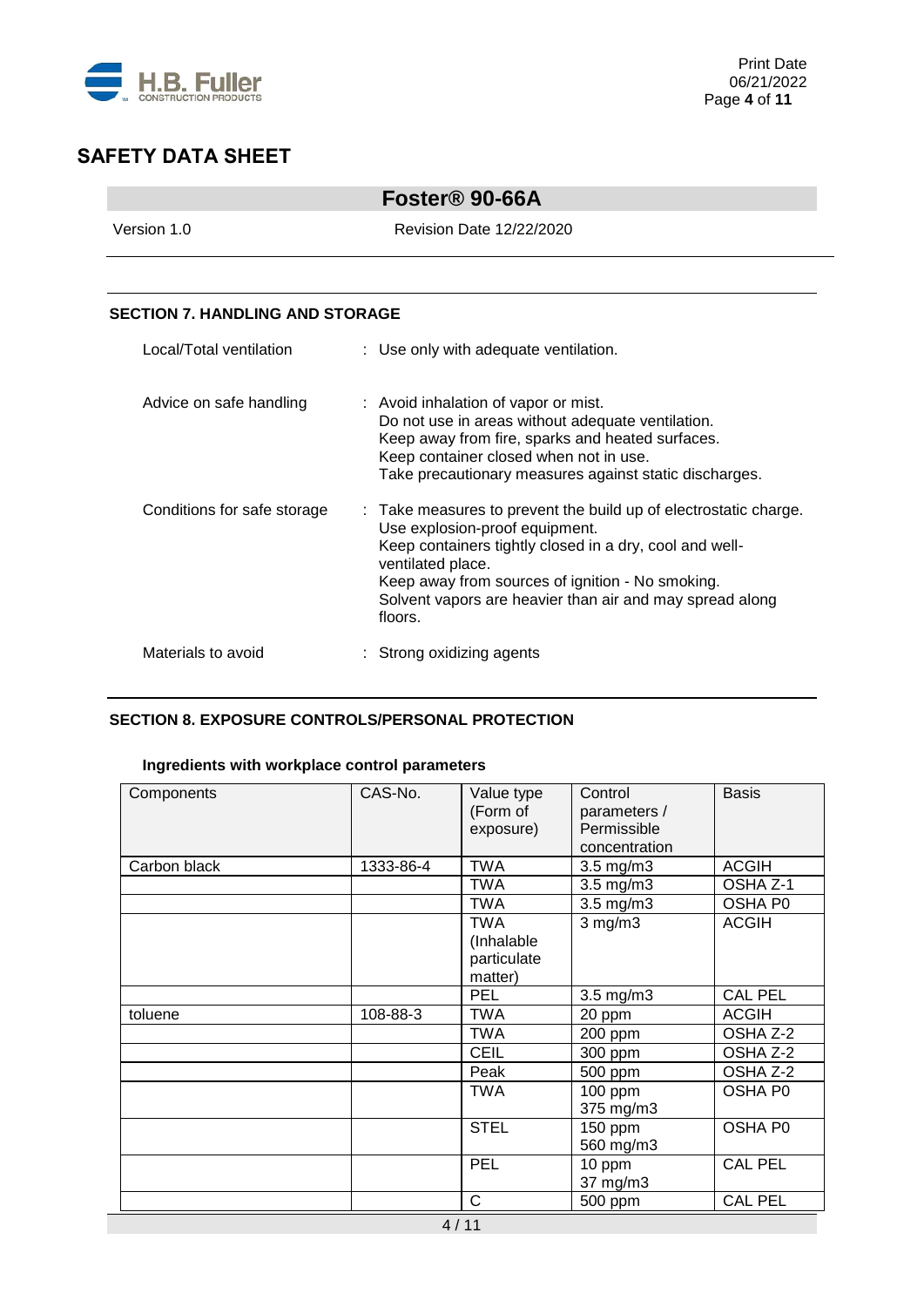

|                                        | Foster <sup>®</sup> 90-66A                                                                                                                                                                                                                                                                                    |
|----------------------------------------|---------------------------------------------------------------------------------------------------------------------------------------------------------------------------------------------------------------------------------------------------------------------------------------------------------------|
| Version 1.0                            | Revision Date 12/22/2020                                                                                                                                                                                                                                                                                      |
|                                        |                                                                                                                                                                                                                                                                                                               |
| <b>SECTION 7. HANDLING AND STORAGE</b> |                                                                                                                                                                                                                                                                                                               |
| Local/Total ventilation                | : Use only with adequate ventilation.                                                                                                                                                                                                                                                                         |
| Advice on safe handling                | : Avoid inhalation of vapor or mist.<br>Do not use in areas without adequate ventilation.<br>Keep away from fire, sparks and heated surfaces.<br>Keep container closed when not in use.<br>Take precautionary measures against static discharges.                                                             |
| Conditions for safe storage            | : Take measures to prevent the build up of electrostatic charge.<br>Use explosion-proof equipment.<br>Keep containers tightly closed in a dry, cool and well-<br>ventilated place.<br>Keep away from sources of ignition - No smoking.<br>Solvent vapors are heavier than air and may spread along<br>floors. |
| Materials to avoid                     | Strong oxidizing agents                                                                                                                                                                                                                                                                                       |

### **SECTION 8. EXPOSURE CONTROLS/PERSONAL PROTECTION**

### **Ingredients with workplace control parameters**

| Components   | CAS-No.   | Value type<br>(Form of<br>exposure)                | Control<br>parameters /<br>Permissible<br>concentration | <b>Basis</b>   |
|--------------|-----------|----------------------------------------------------|---------------------------------------------------------|----------------|
| Carbon black | 1333-86-4 | TWA                                                | $3.5$ mg/m $3$                                          | <b>ACGIH</b>   |
|              |           | <b>TWA</b>                                         | 3.5 mg/m3                                               | OSHA Z-1       |
|              |           | <b>TWA</b>                                         | 3.5 mg/m3                                               | OSHA P0        |
|              |           | <b>TWA</b><br>(Inhalable<br>particulate<br>matter) | $3$ mg/m $3$                                            | <b>ACGIH</b>   |
|              |           | <b>PEL</b>                                         | $3.5$ mg/m $3$                                          | <b>CAL PEL</b> |
| toluene      | 108-88-3  | <b>TWA</b>                                         | 20 ppm                                                  | <b>ACGIH</b>   |
|              |           | <b>TWA</b>                                         | 200 ppm                                                 | OSHA Z-2       |
|              |           | <b>CEIL</b>                                        | 300 ppm                                                 | OSHA Z-2       |
|              |           | Peak                                               | 500 ppm                                                 | OSHA Z-2       |
|              |           | TWA                                                | 100 ppm<br>375 mg/m3                                    | OSHA P0        |
|              |           | <b>STEL</b>                                        | 150 ppm<br>560 mg/m3                                    | OSHA P0        |
|              |           | PEL                                                | 10 ppm<br>37 mg/m3                                      | <b>CAL PEL</b> |
|              |           | C                                                  | 500 ppm                                                 | <b>CAL PEL</b> |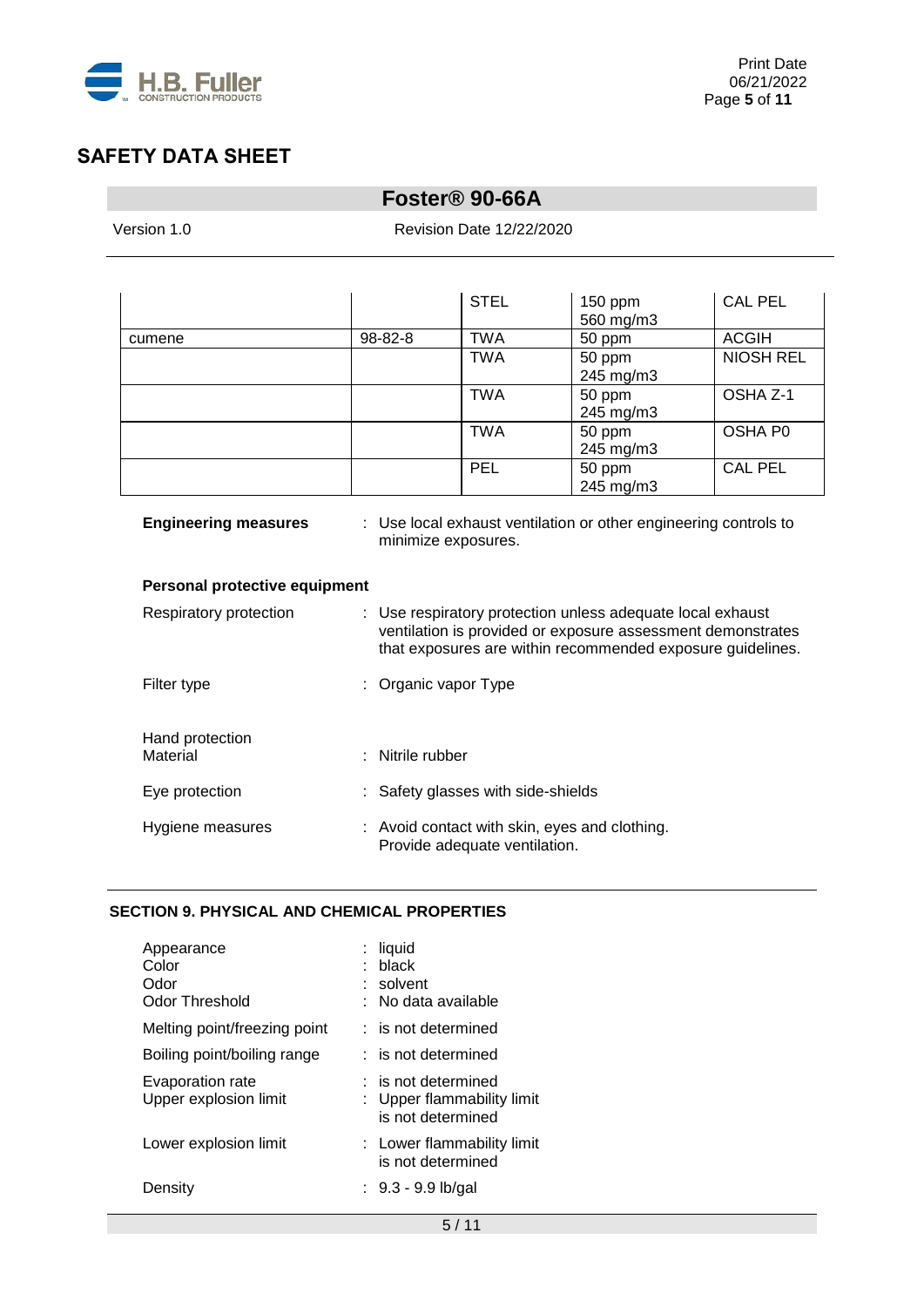

# **Foster® 90-66A**

Revision Date 12/22/2020

|        |         | <b>STEL</b> | 150 ppm<br>560 mg/m3 | <b>CAL PEL</b>   |
|--------|---------|-------------|----------------------|------------------|
| cumene | 98-82-8 | <b>TWA</b>  | 50 ppm               | <b>ACGIH</b>     |
|        |         | <b>TWA</b>  | 50 ppm<br>245 mg/m3  | <b>NIOSH REL</b> |
|        |         | <b>TWA</b>  | 50 ppm<br>245 mg/m3  | OSHA Z-1         |
|        |         | <b>TWA</b>  | 50 ppm<br>245 mg/m3  | OSHA P0          |
|        |         | <b>PEL</b>  | 50 ppm<br>245 mg/m3  | <b>CAL PEL</b>   |

| <b>Engineering measures</b>   | : Use local exhaust ventilation or other engineering controls to<br>minimize exposures.                                                                                                 |
|-------------------------------|-----------------------------------------------------------------------------------------------------------------------------------------------------------------------------------------|
| Personal protective equipment |                                                                                                                                                                                         |
| Respiratory protection        | : Use respiratory protection unless adequate local exhaust<br>ventilation is provided or exposure assessment demonstrates<br>that exposures are within recommended exposure guidelines. |
| Filter type                   | : Organic vapor Type                                                                                                                                                                    |
| Hand protection               |                                                                                                                                                                                         |
| Material                      | : Nitrile rubber                                                                                                                                                                        |
| Eye protection                | : Safety glasses with side-shields                                                                                                                                                      |
| Hygiene measures              | : Avoid contact with skin, eyes and clothing.<br>Provide adequate ventilation.                                                                                                          |

## **SECTION 9. PHYSICAL AND CHEMICAL PROPERTIES**

| Appearance<br>Color<br>Odor<br>Odor Threshold | liquid<br>black<br>solvent<br>No data available                          |
|-----------------------------------------------|--------------------------------------------------------------------------|
| Melting point/freezing point                  | : is not determined                                                      |
| Boiling point/boiling range                   | : is not determined                                                      |
| Evaporation rate<br>Upper explosion limit     | $:$ is not determined<br>: Upper flammability limit<br>is not determined |
| Lower explosion limit                         | : Lower flammability limit<br>is not determined                          |
| Density                                       | : $9.3 - 9.9$ lb/gal                                                     |
|                                               |                                                                          |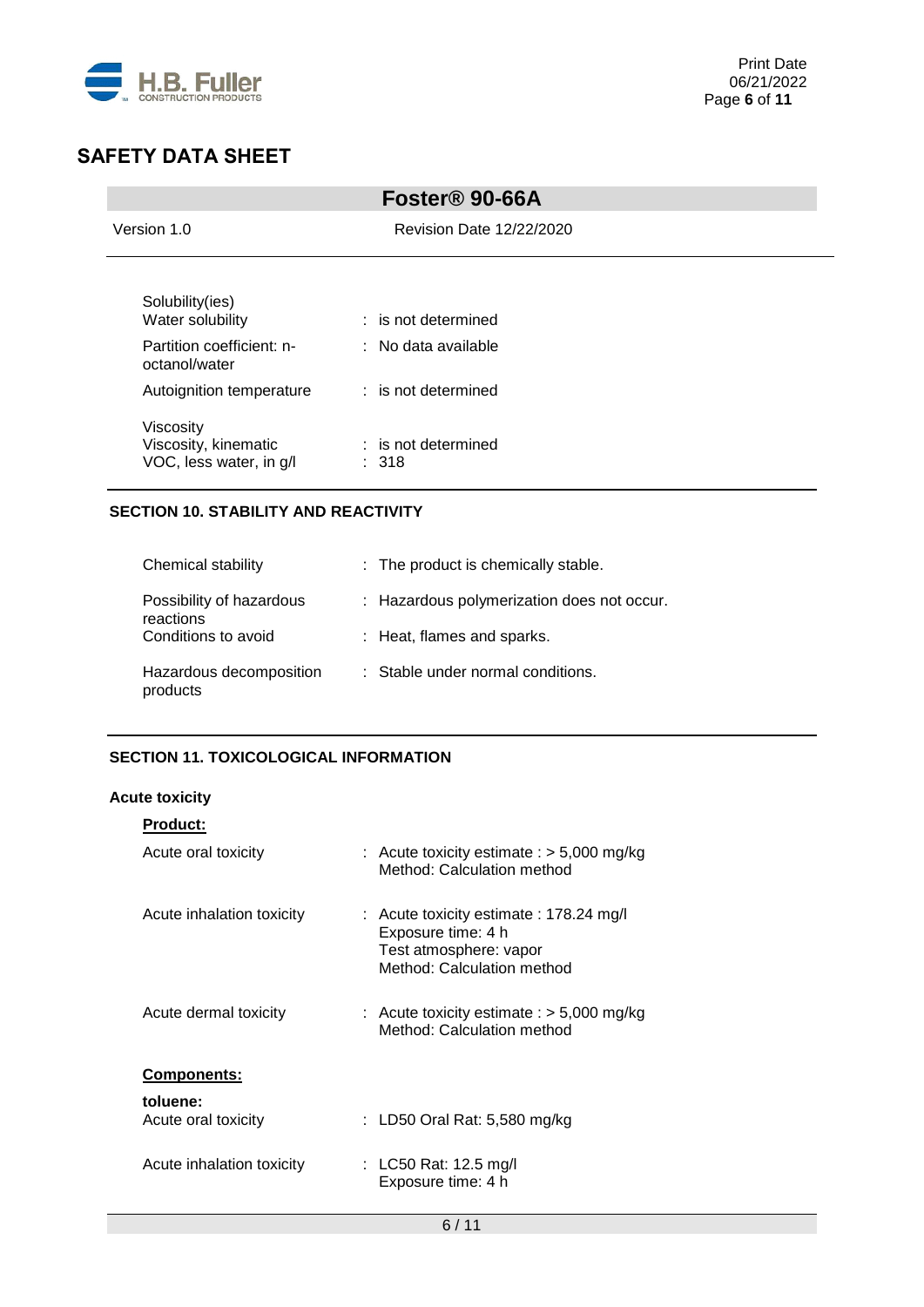

| Foster <sup>®</sup> 90-66A                                   |                                         |  |
|--------------------------------------------------------------|-----------------------------------------|--|
| Version 1.0                                                  | <b>Revision Date 12/22/2020</b>         |  |
| Solubility(ies)<br>Water solubility                          | $:$ is not determined                   |  |
| Partition coefficient: n-<br>octanol/water                   | : No data available                     |  |
| Autoignition temperature                                     | : is not determined                     |  |
| Viscosity<br>Viscosity, kinematic<br>VOC, less water, in g/l | : is not determined<br>$\therefore$ 318 |  |

## **SECTION 10. STABILITY AND REACTIVITY**

| Chemical stability                    | : The product is chemically stable.        |
|---------------------------------------|--------------------------------------------|
| Possibility of hazardous<br>reactions | : Hazardous polymerization does not occur. |
| Conditions to avoid                   | : Heat, flames and sparks.                 |
| Hazardous decomposition<br>products   | : Stable under normal conditions.          |

# **SECTION 11. TOXICOLOGICAL INFORMATION**

### **Acute toxicity**

| <b>Product:</b>                 |                                                                                                                       |
|---------------------------------|-----------------------------------------------------------------------------------------------------------------------|
| Acute oral toxicity             | : Acute toxicity estimate : $>$ 5,000 mg/kg<br>Method: Calculation method                                             |
| Acute inhalation toxicity       | : Acute toxicity estimate : 178.24 mg/l<br>Exposure time: 4 h<br>Test atmosphere: vapor<br>Method: Calculation method |
| Acute dermal toxicity           | : Acute toxicity estimate : $>$ 5,000 mg/kg<br>Method: Calculation method                                             |
| <b>Components:</b>              |                                                                                                                       |
| toluene:<br>Acute oral toxicity | : LD50 Oral Rat: 5,580 mg/kg                                                                                          |
| Acute inhalation toxicity       | : LC50 Rat: 12.5 mg/l<br>Exposure time: 4 h                                                                           |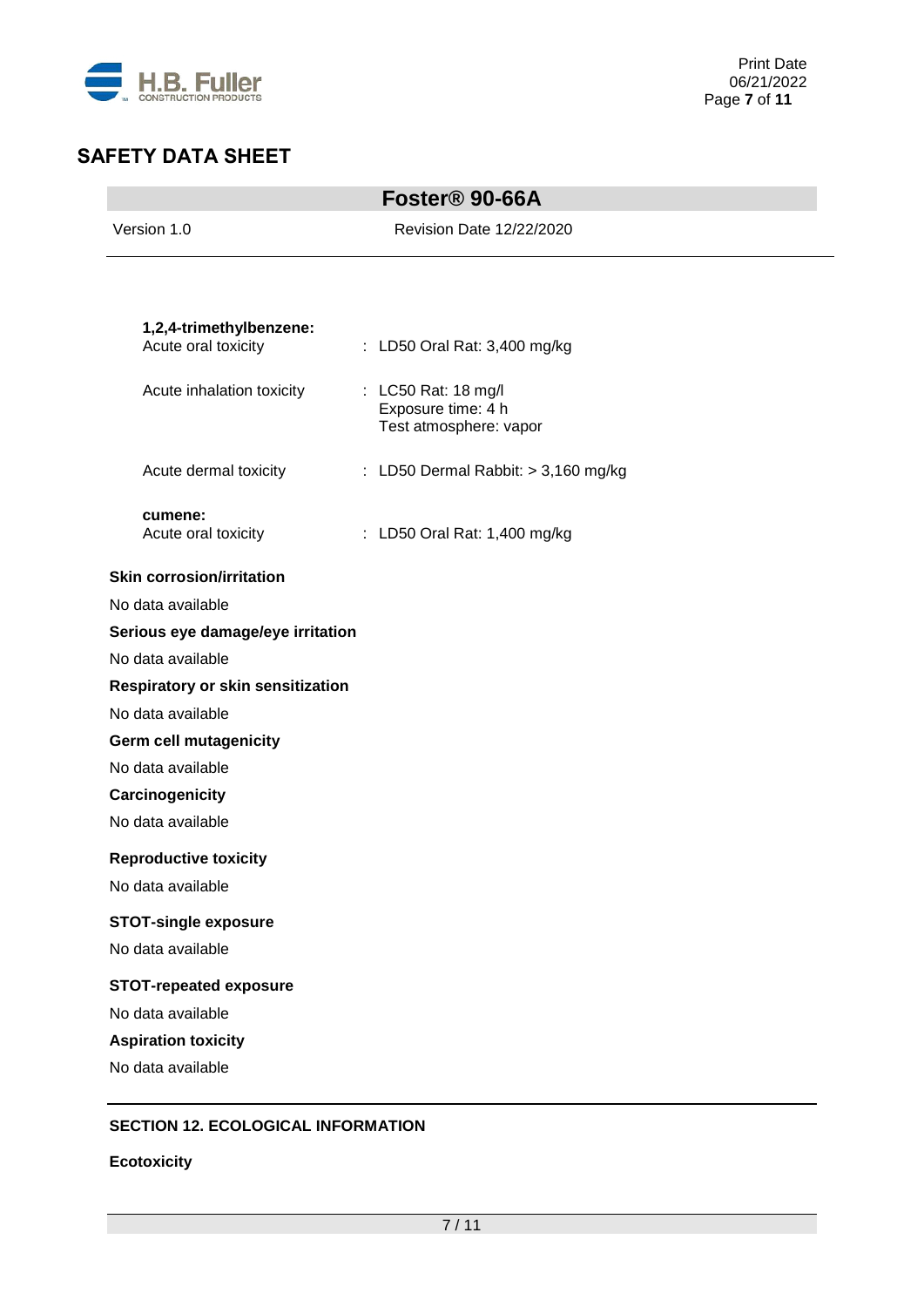

|                                   | Foster <sup>®</sup> 90-66A                |
|-----------------------------------|-------------------------------------------|
| Version 1.0                       | <b>Revision Date 12/22/2020</b>           |
|                                   |                                           |
| 1,2,4-trimethylbenzene:           |                                           |
| Acute oral toxicity               | : LD50 Oral Rat: 3,400 mg/kg              |
| Acute inhalation toxicity         | : LC50 Rat: 18 mg/l<br>Exposure time: 4 h |
|                                   | Test atmosphere: vapor                    |
| Acute dermal toxicity             | : LD50 Dermal Rabbit: $> 3,160$ mg/kg     |
| cumene:                           | : LD50 Oral Rat: 1,400 mg/kg              |
| Acute oral toxicity               |                                           |
| <b>Skin corrosion/irritation</b>  |                                           |
| No data available                 |                                           |
| Serious eye damage/eye irritation |                                           |
| No data available                 |                                           |
| Respiratory or skin sensitization |                                           |
| No data available                 |                                           |
| <b>Germ cell mutagenicity</b>     |                                           |
| No data available                 |                                           |
| Carcinogenicity                   |                                           |
| No data available                 |                                           |
| <b>Reproductive toxicity</b>      |                                           |
| No data available                 |                                           |
| <b>STOT-single exposure</b>       |                                           |
| No data available                 |                                           |
| <b>STOT-repeated exposure</b>     |                                           |
| No data available                 |                                           |
| <b>Aspiration toxicity</b>        |                                           |
| No data available                 |                                           |

## **SECTION 12. ECOLOGICAL INFORMATION**

**Ecotoxicity**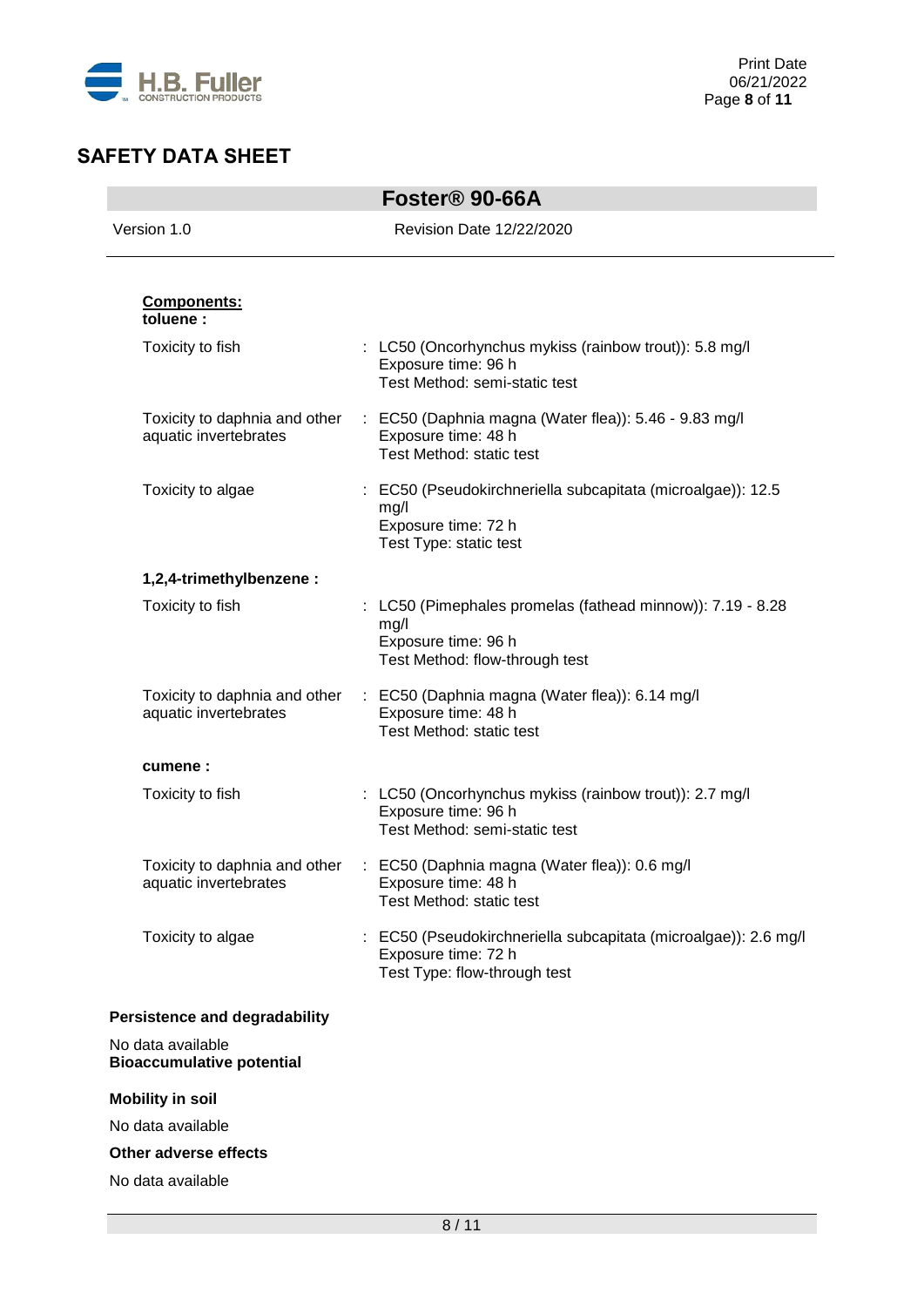

|                                                        | Foster <sup>®</sup> 90-66A                                                                                                  |
|--------------------------------------------------------|-----------------------------------------------------------------------------------------------------------------------------|
| Version 1.0                                            | <b>Revision Date 12/22/2020</b>                                                                                             |
| Components:<br>toluene:                                |                                                                                                                             |
| Toxicity to fish                                       | : LC50 (Oncorhynchus mykiss (rainbow trout)): 5.8 mg/l<br>Exposure time: 96 h<br>Test Method: semi-static test              |
| Toxicity to daphnia and other<br>aquatic invertebrates | : EC50 (Daphnia magna (Water flea)): 5.46 - 9.83 mg/l<br>Exposure time: 48 h<br>Test Method: static test                    |
| Toxicity to algae                                      | EC50 (Pseudokirchneriella subcapitata (microalgae)): 12.5<br>mg/l<br>Exposure time: 72 h<br>Test Type: static test          |
| 1,2,4-trimethylbenzene:                                |                                                                                                                             |
| Toxicity to fish                                       | : LC50 (Pimephales promelas (fathead minnow)): 7.19 - 8.28<br>mg/l<br>Exposure time: 96 h<br>Test Method: flow-through test |
| Toxicity to daphnia and other<br>aquatic invertebrates | : EC50 (Daphnia magna (Water flea)): 6.14 mg/l<br>Exposure time: 48 h<br>Test Method: static test                           |
| cumene:                                                |                                                                                                                             |
| Toxicity to fish                                       | : LC50 (Oncorhynchus mykiss (rainbow trout)): 2.7 mg/l<br>Exposure time: 96 h<br>Test Method: semi-static test              |
| Toxicity to daphnia and other<br>aquatic invertebrates | : EC50 (Daphnia magna (Water flea)): 0.6 mg/l<br>Exposure time: 48 h<br>Test Method: static test                            |
| Toxicity to algae                                      | EC50 (Pseudokirchneriella subcapitata (microalgae)): 2.6 mg/l<br>Exposure time: 72 h<br>Test Type: flow-through test        |
| <b>Persistence and degradability</b>                   |                                                                                                                             |
| No data available<br><b>Bioaccumulative potential</b>  |                                                                                                                             |
| <b>Mobility in soil</b>                                |                                                                                                                             |
| No data available                                      |                                                                                                                             |
| Other adverse effects                                  |                                                                                                                             |
| No data available                                      |                                                                                                                             |
|                                                        |                                                                                                                             |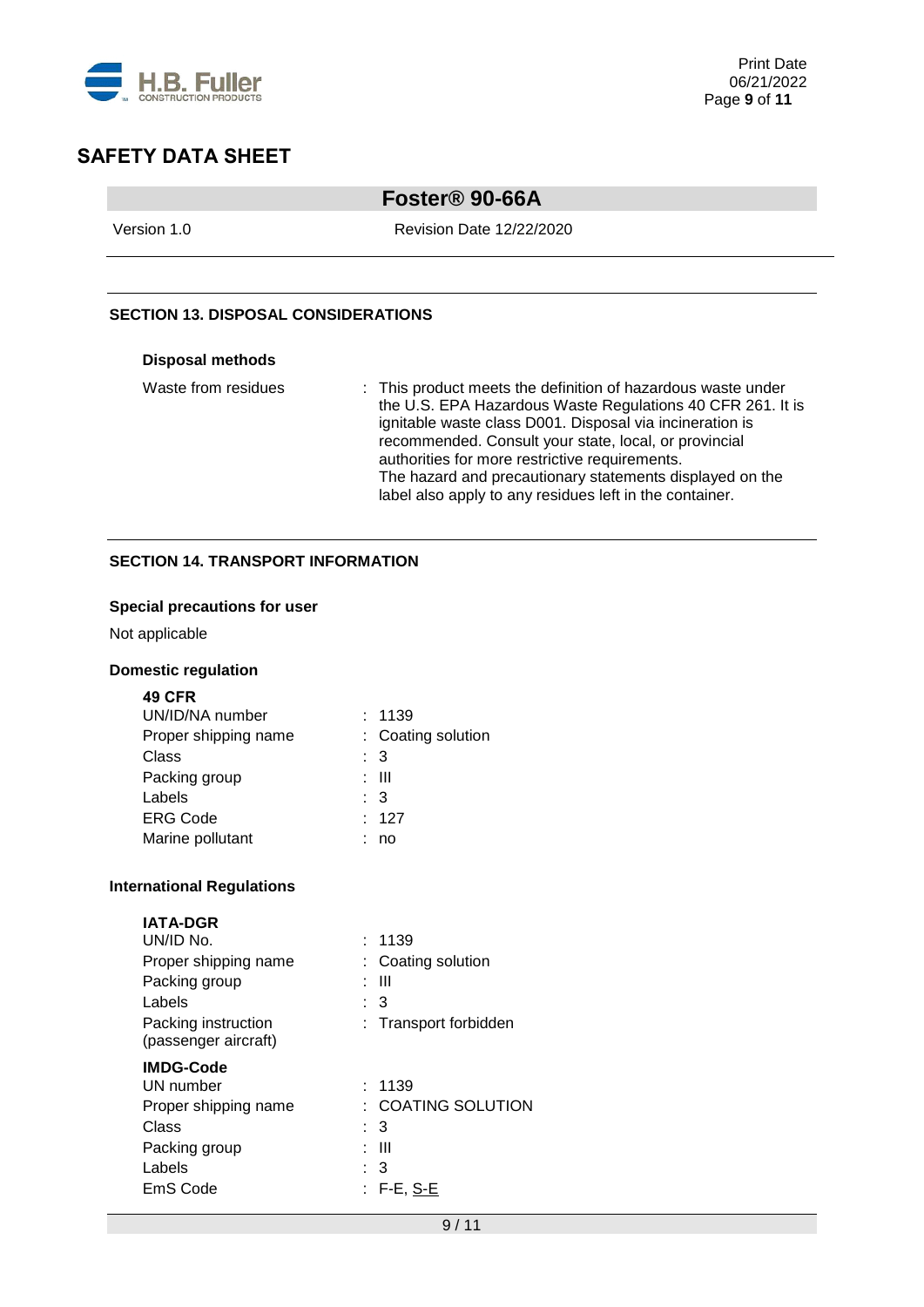

# **Foster® 90-66A**

Version 1.0 Revision Date 12/22/2020

## **SECTION 13. DISPOSAL CONSIDERATIONS**

#### **Disposal methods**

| Waste from residues | : This product meets the definition of hazardous waste under |
|---------------------|--------------------------------------------------------------|
|                     | the U.S. EPA Hazardous Waste Regulations 40 CFR 261. It is   |
|                     | ignitable waste class D001. Disposal via incineration is     |
|                     | recommended. Consult your state, local, or provincial        |
|                     | authorities for more restrictive requirements.               |
|                     | The hazard and precautionary statements displayed on the     |
|                     | label also apply to any residues left in the container.      |

### **SECTION 14. TRANSPORT INFORMATION**

### **Special precautions for user**

Not applicable

## **Domestic regulation**

| я<br>٧<br>× |  |
|-------------|--|
|             |  |

| UN/ID/NA number      |                | : 1139             |
|----------------------|----------------|--------------------|
| Proper shipping name |                | : Coating solution |
| Class                | : 3            |                    |
| Packing group        |                | : III              |
| Labels               | $\therefore$ 3 |                    |
| <b>ERG Code</b>      |                | : 127              |
| Marine pollutant     |                | no                 |

### **International Regulations**

## **IATA-DGR**

| UN/ID No.                                   | 1139                   |
|---------------------------------------------|------------------------|
| Proper shipping name                        | : Coating solution     |
| Packing group                               | : III                  |
| Labels                                      | : 3                    |
| Packing instruction<br>(passenger aircraft) | : Transport forbidden  |
| <b>IMDG-Code</b>                            |                        |
| UN number                                   | : 1139                 |
| Proper shipping name                        | $\pm$ COATING SOLUTION |
| Class                                       | : 3                    |
| Packing group                               | : III                  |
| Labels                                      | : 3                    |
| EmS Code                                    | : F-E, S-E             |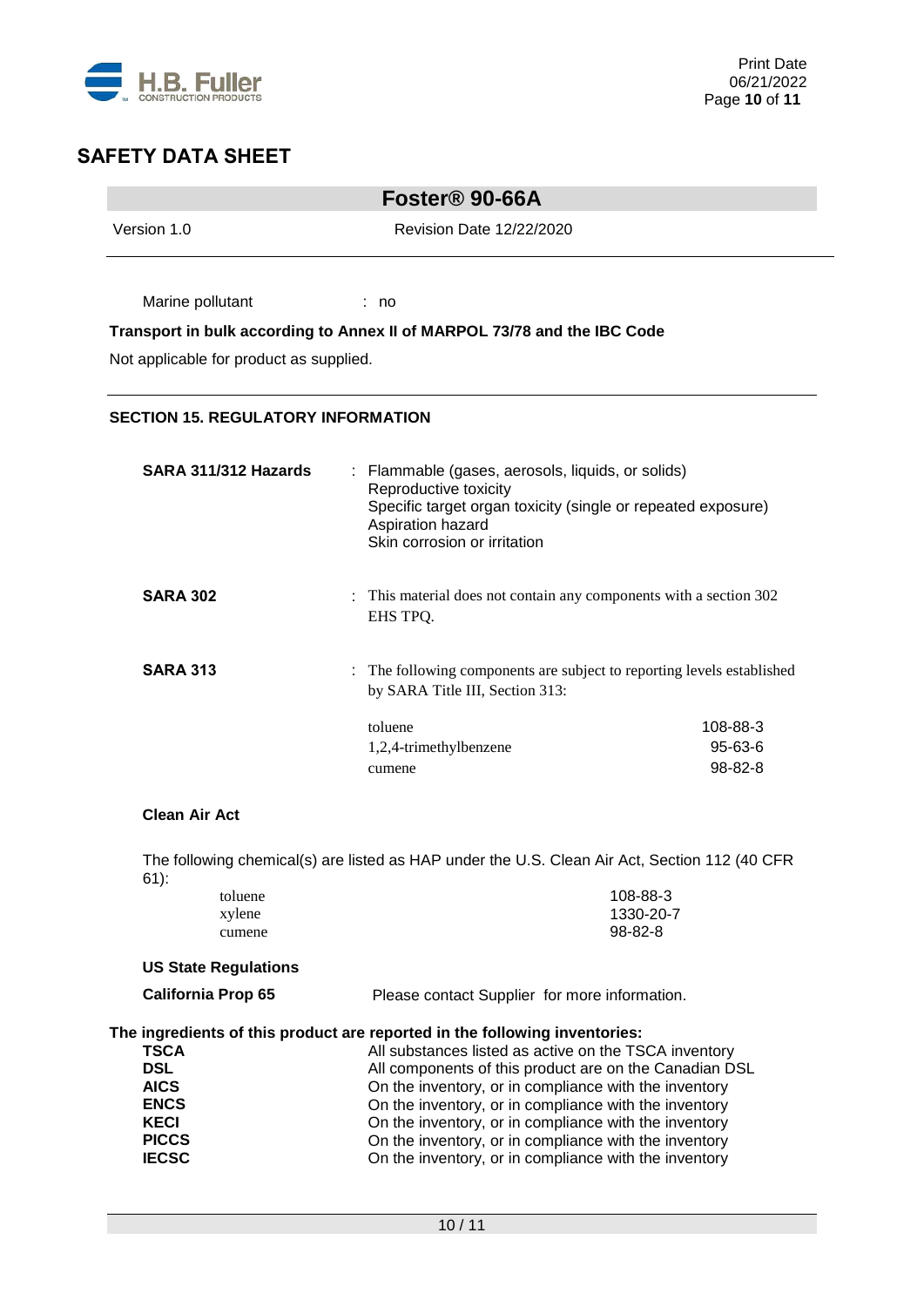

÷,

# **SAFETY DATA SHEET**

| Foster <sup>®</sup> 90-66A                                                                                                                                         |                                                                                                                 |                                                                                                                |  |
|--------------------------------------------------------------------------------------------------------------------------------------------------------------------|-----------------------------------------------------------------------------------------------------------------|----------------------------------------------------------------------------------------------------------------|--|
| Version 1.0                                                                                                                                                        | Revision Date 12/22/2020                                                                                        |                                                                                                                |  |
| Marine pollutant                                                                                                                                                   | : no                                                                                                            |                                                                                                                |  |
|                                                                                                                                                                    | Transport in bulk according to Annex II of MARPOL 73/78 and the IBC Code                                        |                                                                                                                |  |
| Not applicable for product as supplied.                                                                                                                            |                                                                                                                 |                                                                                                                |  |
| <b>SECTION 15. REGULATORY INFORMATION</b>                                                                                                                          |                                                                                                                 |                                                                                                                |  |
| SARA 311/312 Hazards<br>: Flammable (gases, aerosols, liquids, or solids)<br>Reproductive toxicity<br>Specific target organ toxicity (single or repeated exposure) |                                                                                                                 |                                                                                                                |  |
|                                                                                                                                                                    | Aspiration hazard<br>Skin corrosion or irritation                                                               |                                                                                                                |  |
| <b>SARA 302</b>                                                                                                                                                    | : This material does not contain any components with a section 302<br>EHS TPQ.                                  |                                                                                                                |  |
| <b>SARA 313</b>                                                                                                                                                    | : The following components are subject to reporting levels established<br>by SARA Title III, Section 313:       |                                                                                                                |  |
|                                                                                                                                                                    | toluene                                                                                                         | 108-88-3                                                                                                       |  |
|                                                                                                                                                                    | 1,2,4-trimethylbenzene<br>cumene                                                                                | 95-63-6<br>98-82-8                                                                                             |  |
| <b>Clean Air Act</b>                                                                                                                                               |                                                                                                                 |                                                                                                                |  |
| $61)$ :                                                                                                                                                            | The following chemical(s) are listed as HAP under the U.S. Clean Air Act, Section 112 (40 CFR                   |                                                                                                                |  |
| toluene                                                                                                                                                            |                                                                                                                 | 108-88-3                                                                                                       |  |
| xylene<br>cumene                                                                                                                                                   | 1330-20-7<br>98-82-8                                                                                            |                                                                                                                |  |
| <b>US State Regulations</b>                                                                                                                                        |                                                                                                                 |                                                                                                                |  |
| <b>California Prop 65</b>                                                                                                                                          | Please contact Supplier for more information.                                                                   |                                                                                                                |  |
|                                                                                                                                                                    | The ingredients of this product are reported in the following inventories:                                      |                                                                                                                |  |
| <b>TSCA</b><br><b>DSL</b>                                                                                                                                          | All substances listed as active on the TSCA inventory<br>All components of this product are on the Canadian DSL |                                                                                                                |  |
| <b>AICS</b>                                                                                                                                                        | On the inventory, or in compliance with the inventory                                                           |                                                                                                                |  |
| <b>ENCS</b>                                                                                                                                                        | On the inventory, or in compliance with the inventory                                                           |                                                                                                                |  |
| <b>KECI</b>                                                                                                                                                        | On the inventory, or in compliance with the inventory                                                           |                                                                                                                |  |
| <b>PICCS</b><br><b>IECSC</b>                                                                                                                                       |                                                                                                                 | On the inventory, or in compliance with the inventory<br>On the inventory, or in compliance with the inventory |  |
|                                                                                                                                                                    |                                                                                                                 |                                                                                                                |  |